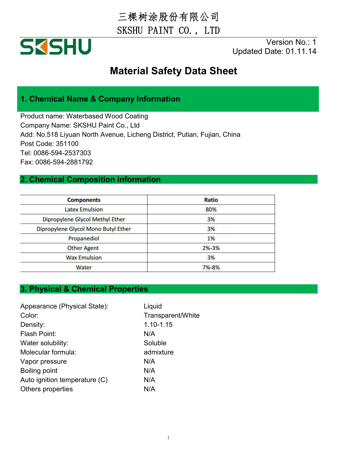三棵树涂股份有限公司 SKSHU PAINT CO., LTD



Version No.: 1 Updated Date: 01.11.14

## **Material Safety Data Sheet**

### **1. Chemical Name & Company Information**

Product name: Waterbased Wood Coating Company Name: SKSHU Paint Co., Ltd Add: No.518 Liyuan North Avenue, Licheng District, Putian, Fujian, China Post Code: 351100 Tel: 0086-594-2537303 Fax: 0086-594-2881792

#### **2. Chemical Composition information**

| <b>Components</b>                   | Ratio     |  |
|-------------------------------------|-----------|--|
| <b>Latex Emulsion</b>               | 80%       |  |
| Dipropylene Glycol Methyl Ether     | 3%        |  |
| Dipropylene Glycol Mono Butyl Ether | 3%        |  |
| Propanediol                         | 1%        |  |
| <b>Other Agent</b>                  | $2% - 3%$ |  |
| <b>Wax Emulsion</b>                 | 3%        |  |
| Water                               | 7%-8%     |  |

#### **3. Physical & Chemical Properties**

| Appearance (Physical State):  | Liquid            |
|-------------------------------|-------------------|
| Color:                        | Transparent/White |
| Density:                      | 1.10-1.15         |
| Flash Point:                  | N/A               |
| Water solubility:             | Soluble           |
| Molecular formula:            | admixture         |
| Vapor pressure                | N/A               |
| <b>Boiling point</b>          | N/A               |
| Auto ignition temperature (C) | N/A               |
| Others properties             | N/A               |
|                               |                   |